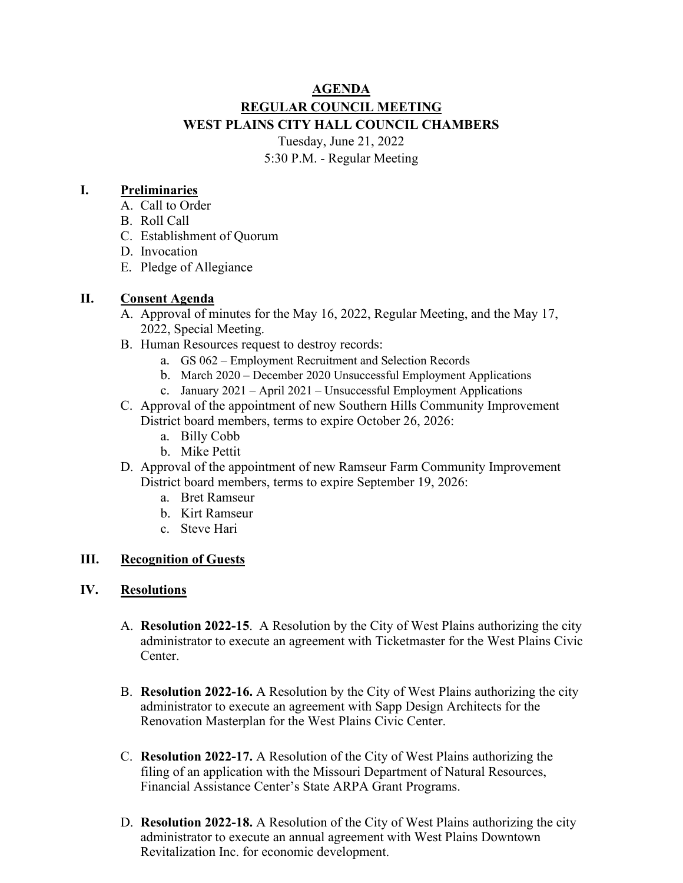# **AGENDA REGULAR COUNCIL MEETING WEST PLAINS CITY HALL COUNCIL CHAMBERS** Tuesday, June 21, 2022

5:30 P.M. - Regular Meeting

### **I. Preliminaries**

- A. Call to Order
- B. Roll Call
- C. Establishment of Quorum
- D. Invocation
- E. Pledge of Allegiance

### **II. Consent Agenda**

- A. Approval of minutes for the May 16, 2022, Regular Meeting, and the May 17, 2022, Special Meeting.
- B. Human Resources request to destroy records:
	- a. GS 062 Employment Recruitment and Selection Records
	- b. March 2020 December 2020 Unsuccessful Employment Applications
	- c. January 2021 April 2021 Unsuccessful Employment Applications
- C. Approval of the appointment of new Southern Hills Community Improvement District board members, terms to expire October 26, 2026:
	- a. Billy Cobb
	- b. Mike Pettit
- D. Approval of the appointment of new Ramseur Farm Community Improvement District board members, terms to expire September 19, 2026:
	- a. Bret Ramseur
	- b. Kirt Ramseur
	- c. Steve Hari

### **III. Recognition of Guests**

#### **IV. Resolutions**

- A. **Resolution 2022-15**. A Resolution by the City of West Plains authorizing the city administrator to execute an agreement with Ticketmaster for the West Plains Civic Center.
- B. **Resolution 2022-16.** A Resolution by the City of West Plains authorizing the city administrator to execute an agreement with Sapp Design Architects for the Renovation Masterplan for the West Plains Civic Center.
- C. **Resolution 2022-17.** A Resolution of the City of West Plains authorizing the filing of an application with the Missouri Department of Natural Resources, Financial Assistance Center's State ARPA Grant Programs.
- D. **Resolution 2022-18.** A Resolution of the City of West Plains authorizing the city administrator to execute an annual agreement with West Plains Downtown Revitalization Inc. for economic development.